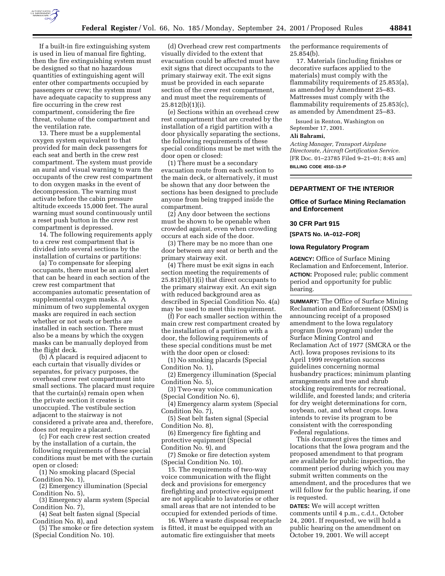

If a built-in fire extinguishing system is used in lieu of manual fire fighting, then the fire extinguishing system must be designed so that no hazardous quantities of extinguishing agent will enter other compartments occupied by passengers or crew; the system must have adequate capacity to suppress any fire occurring in the crew rest compartment, considering the fire threat, volume of the compartment and the ventilation rate.

13. There must be a supplemental oxygen system equivalent to that provided for main deck passengers for each seat and berth in the crew rest compartment. The system must provide an aural and visual warning to warn the occupants of the crew rest compartment to don oxygen masks in the event of decompression. The warning must activate before the cabin pressure altitude exceeds 15,000 feet. The aural warning must sound continuously until a reset push button in the crew rest compartment is depressed.

14. The following requirements apply to a crew rest compartment that is divided into several sections by the installation of curtains or partitions:

(a) To compensate for sleeping occupants, there must be an aural alert that can be heard in each section of the crew rest compartment that accompanies automatic presentation of supplemental oxygen masks. A minimum of two supplemental oxygen masks are required in each section whether or not seats or berths are installed in each section. There must also be a means by which the oxygen masks can be manually deployed from the flight deck.

(b) A placard is required adjacent to each curtain that visually divides or separates, for privacy purposes, the overhead crew rest compartment into small sections. The placard must require that the curtain(s) remain open when the private section it creates is unoccupied. The vestibule section adjacent to the stairway is not considered a private area and, therefore, does not require a placard.

(c) For each crew rest section created by the installation of a curtain, the following requirements of these special conditions must be met with the curtain open or closed:

(1) No smoking placard (Special Condition No. 1),

(2) Emergency illumination (Special Condition No. 5),

(3) Emergency alarm system (Special Condition No. 7),

(4) Seat belt fasten signal (Special Condition No. 8), and

(5) The smoke or fire detection system (Special Condition No. 10).

(d) Overhead crew rest compartments visually divided to the extent that evacuation could be affected must have exit signs that direct occupants to the primary stairway exit. The exit signs must be provided in each separate section of the crew rest compartment, and must meet the requirements of 25.812(b)(1)(i).

(e) Sections within an overhead crew rest compartment that are created by the installation of a rigid partition with a door physically separating the sections, the following requirements of these special conditions must be met with the door open or closed:

(1) There must be a secondary evacuation route from each section to the main deck, or alternatively, it must be shown that any door between the sections has been designed to preclude anyone from being trapped inside the compartment.

(2) Any door between the sections must be shown to be openable when crowded against, even when crowding occurs at each side of the door.

(3) There may be no more than one door between any seat or berth and the primary stairway exit.

(4) There must be exit signs in each section meeting the requirements of 25.812(b)(1)(i) that direct occupants to the primary stairway exit. An exit sign with reduced background area as described in Special Condition No. 4(a) may be used to meet this requirement.

(f) For each smaller section within the main crew rest compartment created by the installation of a partition with a door, the following requirements of these special conditions must be met with the door open or closed:

(1) No smoking placards (Special Condition No. 1),

(2) Emergency illumination (Special Condition No. 5),

(3) Two-way voice communication (Special Condition No. 6),

(4) Emergency alarm system (Special Condition No. 7),

(5) Seat belt fasten signal (Special Condition No. 8),

(6) Emergency fire fighting and protective equipment (Special Condition No. 9), and

(7) Smoke or fire detection system (Special Condition No. 10).

15. The requirements of two-way voice communication with the flight deck and provisions for emergency firefighting and protective equipment are not applicable to lavatories or other small areas that are not intended to be occupied for extended periods of time.

16. Where a waste disposal receptacle is fitted, it must be equipped with an automatic fire extinguisher that meets

the performance requirements of  $25.854(b)$ .

17. Materials (including finishes or decorative surfaces applied to the materials) must comply with the flammability requirements of 25.853(a), as amended by Amendment 25–83. Mattresses must comply with the flammability requirements of 25.853(c), as amended by Amendment 25–83.

Issued in Renton, Washington on September 17, 2001.

#### **Ali Bahrami,**

*Acting Manager, Transport Airplane Directorate, Aircraft Certification Service.* [FR Doc. 01–23785 Filed 9–21–01; 8:45 am] **BILLING CODE 4910–13–P**

## **DEPARTMENT OF THE INTERIOR**

**Office of Surface Mining Reclamation and Enforcement**

### **30 CFR Part 915**

**[SPATS No. IA–012–FOR]**

#### **Iowa Regulatory Program**

**AGENCY:** Office of Surface Mining Reclamation and Enforcement, Interior. **ACTION:** Proposed rule; public comment period and opportunity for public hearing.

**SUMMARY:** The Office of Surface Mining Reclamation and Enforcement (OSM) is announcing receipt of a proposed amendment to the Iowa regulatory program (Iowa program) under the Surface Mining Control and Reclamation Act of 1977 (SMCRA or the Act). Iowa proposes revisions to its April 1999 revegetation success guidelines concerning normal husbandry practices; minimum planting arrangements and tree and shrub stocking requirements for recreational, wildlife, and forested lands; and criteria for dry weight determinations for corn, soybean, oat, and wheat crops. Iowa intends to revise its program to be consistent with the corresponding Federal regulations.

This document gives the times and locations that the Iowa program and the proposed amendment to that program are available for public inspection, the comment period during which you may submit written comments on the amendment, and the procedures that we will follow for the public hearing, if one is requested.

**DATES:** We will accept written comments until 4 p.m., c.d.t., October 24, 2001. If requested, we will hold a public hearing on the amendment on October 19, 2001. We will accept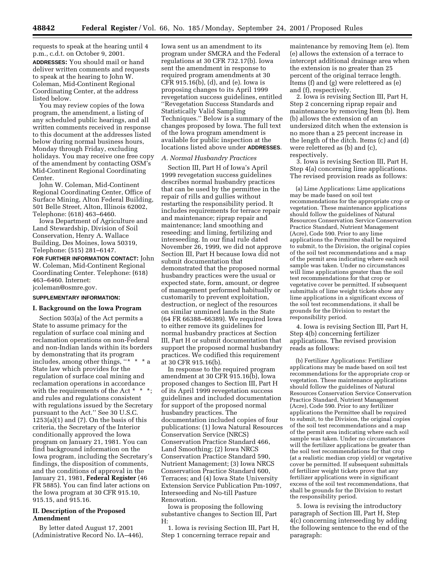requests to speak at the hearing until 4 p.m., c.d.t. on October 9, 2001. **ADDRESSES:** You should mail or hand deliver written comments and requests to speak at the hearing to John W. Coleman, Mid-Continent Regional Coordinating Center, at the address listed below.

You may review copies of the Iowa program, the amendment, a listing of any scheduled public hearings, and all written comments received in response to this document at the addresses listed below during normal business hours, Monday through Friday, excluding holidays. You may receive one free copy of the amendment by contacting OSM's Mid-Continent Regional Coordinating Center.

John W. Coleman, Mid-Continent Regional Coordinating Center, Office of Surface Mining, Alton Federal Building, 501 Belle Street, Alton, Illinois 62002, Telephone: (618) 463–6460.

Iowa Department of Agriculture and Land Stewardship, Division of Soil Conservation, Henry A. Wallace Building, Des Moines, Iowa 50319, Telephone: (515) 281–6147.

**FOR FURTHER INFORMATION CONTACT:** John W. Coleman, Mid-Continent Regional Coordinating Center. Telephone: (618) 463–6460. Internet: jcoleman@osmre.gov.

# **SUPPLEMENTARY INFORMATION:**

# **I. Background on the Iowa Program**

Section 503(a) of the Act permits a State to assume primacy for the regulation of surface coal mining and reclamation operations on non-Federal and non-Indian lands within its borders by demonstrating that its program includes, among other things, ''\* \* \* a State law which provides for the regulation of surface coal mining and reclamation operations in accordance with the requirements of the Act \* \* \*; and rules and regulations consistent with regulations issued by the Secretary pursuant to the Act.'' See 30 U.S.C.  $1253(a)(1)$  and  $(7)$ . On the basis of this criteria, the Secretary of the Interior conditionally approved the Iowa program on January 21, 1981. You can find background information on the Iowa program, including the Secretary's findings, the disposition of comments, and the conditions of approval in the January 21, 1981, **Federal Register** (46 FR 5885). You can find later actions on the Iowa program at 30 CFR 915.10, 915.15, and 915.16.

## **II. Description of the Proposed Amendment**

By letter dated August 17, 2001 (Administrative Record No. IA–446),

Iowa sent us an amendment to its program under SMCRA and the Federal regulations at 30 CFR 732.17(b). Iowa sent the amendment in response to required program amendments at 30 CFR 915.16(b), (d), and (e). Iowa is proposing changes to its April 1999 revegetation success guidelines, entitled ''Revegetation Success Standards and Statistically Valid Sampling Techniques.'' Below is a summary of the changes proposed by Iowa. The full text of the Iowa program amendment is available for public inspection at the locations listed above under **ADDRESSES**.

#### *A. Normal Husbandry Practices*

Section III, Part H of Iowa's April 1999 revegetation success guidelines describes normal husbandry practices that can be used by the permittee in the repair of rills and gullies without restarting the responsibility period. It includes requirements for terrace repair and maintenance; riprap repair and maintenance; land smoothing and reseeding; and liming, fertilizing and interseeding. In our final rule dated November 26, 1999, we did not approve Section III, Part H because Iowa did not submit documentation that demonstrated that the proposed normal husbandry practices were the usual or expected state, form, amount, or degree of management performed habitually or customarily to prevent exploitation, destruction, or neglect of the resources on similar unmined lands in the State (64 FR 66388–66389). We required Iowa to either remove its guidelines for normal husbandry practices at Section III, Part H or submit documentation that support the proposed normal husbandry practices. We codified this requirement at 30 CFR 915.16(b).

In response to the required program amendment at 30 CFR 915.16(b), Iowa proposed changes to Section III, Part H of its April 1999 revegetation success guidelines and included documentation for support of the proposed normal husbandry practices. The documentation included copies of four publications: (1) Iowa Natural Resources Conservation Service (NRCS) Conservation Practice Standard 466, Land Smoothing; (2) Iowa NRCS Conservation Practice Standard 590, Nutrient Management; (3) Iowa NRCS Conservation Practice Standard 600, Terraces; and (4) Iowa State University Extension Service Publication Pm-1097, Interseeding and No-till Pasture Renovation.

Iowa is proposing the following substantive changes to Section III, Part H:

1. Iowa is revising Section III, Part H, Step 1 concerning terrace repair and

maintenance by removing Item (e). Item (e) allows the extension of a terrace to intercept additional drainage area when the extension is no greater than 25 percent of the original terrace length. Items (f) and (g) were relettered as (e) and (f), respectively.

2. Iowa is revising Section III, Part H, Step 2 concerning riprap repair and maintenance by removing Item (b). Item (b) allows the extension of an undersized ditch when the extension is no more than a 25 percent increase in the length of the ditch. Items (c) and (d) were relettered as (b) and (c), respectively.

3. Iowa is revising Section III, Part H, Step 4(a) concerning lime applications. The revised provision reads as follows:

(a) Lime Applications: Lime applications may be made based on soil test recommendations for the appropriate crop or vegetation. These maintenance applications should follow the guidelines of Natural Resources Conservation Service Conservation Practice Standard, Nutrient Management (Acre), Code 590. Prior to any lime applications the Permittee shall be required to submit, to the Division, the original copies of the soil test recommendations and a map of the permit area indicating where each soil sample was taken. Under no circumstances will lime applications greater than the soil test recommendations for that crop or vegetative cover be permitted. If subsequent submittals of lime weight tickets show any lime applications in a significant excess of the soil test recommendations, it shall be grounds for the Division to restart the responsibility period.

4. Iowa is revising Section III, Part H, Step 4(b) concerning fertilizer applications. The revised provision reads as follows:

(b) Fertilizer Applications: Fertilizer applications may be made based on soil test recommendations for the appropriate crop or vegetation. These maintenance applications should follow the guidelines of Natural Resources Conservation Service Conservation Practice Standard, Nutrient Management (Acre), Code 590. Prior to any fertilizer applications the Permittee shall be required to submit, to the Division, the original copies of the soil test recommendations and a map of the permit area indicating where each soil sample was taken. Under no circumstances will the fertilizer applications be greater than the soil test recommendations for that crop (at a realistic median crop yield) or vegetative cover be permitted. If subsequent submittals of fertilizer weight tickets prove that any fertilizer applications were in significant excess of the soil test recommendations, that shall be grounds for the Division to restart the responsibility period.

5. Iowa is revising the introductory paragraph of Section III, Part H, Step 4(c) concerning interseeding by adding the following sentence to the end of the paragraph: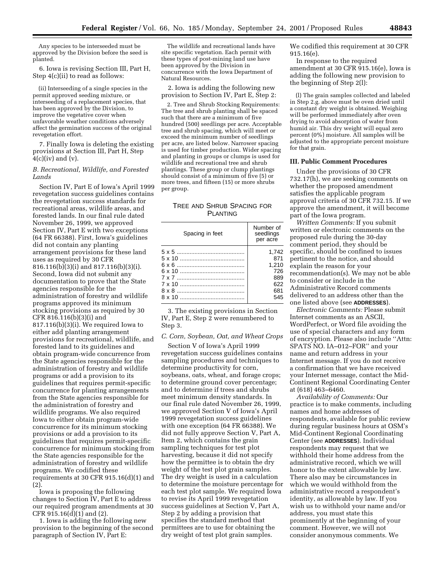Any species to be interseeded must be approved by the Division before the seed is planted.

6. Iowa is revising Section III, Part H, Step 4(c)(ii) to read as follows:

(ii) Interseeding of a single species in the permit approved seeding mixture, or interseeding of a replacement species, that has been approved by the Division, to improve the vegetative cover when unfavorable weather conditions adversely affect the germination success of the original revegetation effort.

7. Finally Iowa is deleting the existing provisions at Section III, Part H, Step  $4(c)(iv)$  and  $(v)$ .

### *B. Recreational, Wildlife, and Forested Lands*

Section IV, Part E of Iowa's April 1999 revegetation success guidelines contains the revegetation success standards for recreational areas, wildlife areas, and forested lands. In our final rule dated November 26, 1999, we approved Section IV, Part E with two exceptions (64 FR 66388). First, Iowa's guidelines did not contain any planting arrangement provisions for these land uses as required by 30 CFR 816.116(b)(3)(i) and 817.116(b)(3)(i). Second, Iowa did not submit any documentation to prove that the State agencies responsible for the administration of forestry and wildlife programs approved its minimum stocking provisions as required by 30 CFR 816.116(b)(3)(i) and 817.116(b)(3)(i). We required Iowa to either add planting arrangement provisions for recreational, wildlife, and forested land to its guidelines and obtain program-wide concurrence from the State agencies responsible for the administration of forestry and wildlife programs or add a provision to its guidelines that requires permit-specific concurrence for planting arrangements from the State agencies responsible for the administration of forestry and wildlife programs. We also required Iowa to either obtain program-wide concurrence for its minimum stocking provisions or add a provision to its guidelines that requires permit-specific concurrence for minimum stocking from the State agencies responsible for the administration of forestry and wildlife programs. We codified these requirements at 30 CFR 915.16(d)(1) and (2).

Iowa is proposing the following changes to Section IV, Part E to address our required program amendments at 30 CFR 915.16(d)(1) and (2).

1. Iowa is adding the following new provision to the beginning of the second paragraph of Section IV, Part E:

The wildlife and recreational lands have site specific vegetation. Each permit with these types of post-mining land use have been approved by the Division in concurrence with the Iowa Department of Natural Resources.

2. Iowa is adding the following new provision to Section IV, Part E, Step 2:

2. Tree and Shrub Stocking Requirements: The tree and shrub planting shall be spaced such that there are a minimum of five hundred (500) seedlings per acre. Acceptable tree and shrub spacing, which will meet or exceed the minimum number of seedlings per acre, are listed below. Narrower spacing is used for timber production. Wider spacing and planting in groups or clumps is used for wildlife and recreational tree and shrub plantings. These group or clump plantings should consist of a minimum of five (5) or more trees, and fifteen (15) or more shrubs per group.

## TREE AND SHRUB SPACING FOR PLANTING

|  | Spacing in feet | Number of<br>seedlings<br>per acre |
|--|-----------------|------------------------------------|
|  |                 | 1.742                              |
|  |                 | 871                                |
|  |                 | 1.210                              |
|  |                 | 726                                |
|  |                 | 889                                |
|  |                 | 622                                |
|  |                 | 681                                |
|  |                 | 545                                |

3. The existing provisions in Section IV, Part E, Step 2 were renumbered to Step 3.

# *C. Corn, Soybean, Oat, and Wheat Crops*

Section V of Iowa's April 1999 revegetation success guidelines contains sampling procedures and techniques to determine productivity for corn, soybeans, oats, wheat, and forage crops; to determine ground cover percentage; and to determine if trees and shrubs meet minimum density standards. In our final rule dated November 26, 1999, we approved Section V of Iowa's April 1999 revegetation success guidelines with one exception (64 FR 66388). We did not fully approve Section V, Part A, Item 2, which contains the grain sampling techniques for test plot harvesting, because it did not specify how the permittee is to obtain the dry weight of the test plot grain samples. The dry weight is used in a calculation to determine the moisture percentage for each test plot sample. We required Iowa to revise its April 1999 revegetation success guidelines at Section V, Part A, Step 2 by adding a provision that specifies the standard method that permittees are to use for obtaining the dry weight of test plot grain samples.

We codified this requirement at 30 CFR 915.16(e).

In response to the required amendment at 30 CFR 915.16(e), Iowa is adding the following new provision to the beginning of Step 2(l):

(l) The grain samples collected and labeled in Step 2.g. above must be oven dried until a constant dry weight is obtained. Weighing will be performed immediately after oven drying to avoid absorption of water from humid air. This dry weight will equal zero percent (0%) moisture. All samples will be adjusted to the appropriate percent moisture for that grain.

#### **III. Public Comment Procedures**

Under the provisions of 30 CFR 732.17(h), we are seeking comments on whether the proposed amendment satisfies the applicable program approval criteria of 30 CFR 732.15. If we approve the amendment, it will become part of the Iowa program.

*Written Comments:* If you submit written or electronic comments on the proposed rule during the 30-day comment period, they should be specific, should be confined to issues pertinent to the notice, and should explain the reason for your recommendation(s). We may not be able to consider or include in the Administrative Record comments delivered to an address other than the one listed above (see **ADDRESSES**).

*Electronic Comments:* Please submit Internet comments as an ASCII, WordPerfect, or Word file avoiding the use of special characters and any form of encryption. Please also include ''Attn: SPATS NO. IA–012–FOR'' and your name and return address in your Internet message. If you do not receive a confirmation that we have received your Internet message, contact the Mid-Continent Regional Coordinating Center at (618) 463–6460.

*Availability of Comments:* Our practice is to make comments, including names and home addresses of respondents, available for public review during regular business hours at OSM's Mid-Continent Regional Coordinating Center (see **ADDRESSES**). Individual respondents may request that we withhold their home address from the administrative record, which we will honor to the extent allowable by law. There also may be circumstances in which we would withhold from the administrative record a respondent's identity, as allowable by law. If you wish us to withhold your name and/or address, you must state this prominently at the beginning of your comment. However, we will not consider anonymous comments. We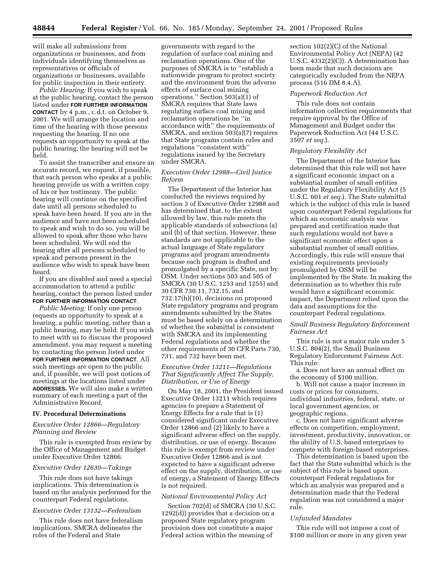will make all submissions from organizations or businesses, and from individuals identifying themselves as representatives or officials of organizations or businesses, available for public inspection in their entirety.

*Public Hearing:* If you wish to speak at the public hearing, contact the person listed under **FOR FURTHER INFORMATION CONTACT** by 4 p.m., c.d.t. on October 9, 2001. We will arrange the location and time of the hearing with those persons requesting the hearing. If no one requests an opportunity to speak at the public hearing, the hearing will not be held.

To assist the transcriber and ensure an accurate record, we request, if possible, that each person who speaks at a public hearing provide us with a written copy of his or her testimony. The public hearing will continue on the specified date until all persons scheduled to speak have been heard. If you are in the audience and have not been scheduled to speak and wish to do so, you will be allowed to speak after those who have been scheduled. We will end the hearing after all persons scheduled to speak and persons present in the audience who wish to speak have been heard.

If you are disabled and need a special accommodation to attend a public hearing, contact the person listed under **FOR FURTHER INFORMATION CONTACT**.

*Public Meeting:* If only one person requests an opportunity to speak at a hearing, a public meeting, rather than a public hearing, may be held. If you wish to meet with us to discuss the proposed amendment, you may request a meeting by contacting the person listed under **FOR FURTHER INFORMATION CONTACT**. All such meetings are open to the public and, if possible, we will post notices of meetings at the locations listed under **ADDRESSES.** We will also make a written summary of each meeting a part of the Administrative Record.

#### **IV. Procedural Determinations**

## *Executive Order 12866—Regulatory Planning and Review*

This rule is exempted from review by the Office of Management and Budget under Executive Order 12866.

#### *Executive Order 12630—Takings*

This rule does not have takings implications. This determination is based on the analysis performed for the counterpart Federal regulations.

### *Executive Order 13132—Federalism*

This rule does not have federalism implications. SMCRA delineates the roles of the Federal and State

governments with regard to the regulation of surface coal mining and reclamation operations. One of the purposes of SMCRA is to ''establish a nationwide program to protect society and the environment from the adverse effects of surface coal mining operations.'' Section 503(a)(1) of SMCRA requires that State laws regulating surface coal mining and reclamation operations be ''in accordance with'' the requirements of SMCRA, and section 503(a)(7) requires that State programs contain rules and regulations ''consistent with'' regulations issued by the Secretary under SMCRA.

## *Executive Order 12988—Civil Justice Reform*

The Department of the Interior has conducted the reviews required by section 3 of Executive Order 12988 and has determined that, to the extent allowed by law, this rule meets the applicable standards of subsections (a) and (b) of that section. However, these standards are not applicable to the actual language of State regulatory programs and program amendments because each program is drafted and promulgated by a specific State, not by OSM. Under sections 503 and 505 of SMCRA (30 U.S.C. 1253 and 1255) and 30 CFR 730.11, 732.15, and 732.17(h)(10), decisions on proposed State regulatory programs and program amendments submitted by the States must be based solely on a determination of whether the submittal is consistent with SMCRA and its implementing Federal regulations and whether the other requirements of 30 CFR Parts 730, 731, and 732 have been met.

## *Executive Order 13211—Regulations That Significantly Affect The Supply, Distribution, or Use of Energy*

On May 18, 2001, the President issued Executive Order 13211 which requires agencies to prepare a Statement of Energy Effects for a rule that is (1) considered significant under Executive Order 12866 and (2) likely to have a significant adverse effect on the supply, distribution, or use of energy. Because this rule is exempt from review under Executive Order 12866 and is not expected to have a significant adverse effect on the supply, distribution, or use of energy, a Statement of Energy Effects is not required.

#### *National Environmental Policy Act*

Section 702(d) of SMCRA (30 U.S.C. 1292(d)) provides that a decision on a proposed State regulatory program provision does not constitute a major Federal action within the meaning of

section 102(2)(C) of the National Environmental Policy Act (NEPA) (42 U.S.C. 4332(2)(C)). A determination has been made that such decisions are categorically excluded from the NEPA process (516 DM 8.4.A).

#### *Paperwork Reduction Act*

This rule does not contain information collection requirements that require approval by the Office of Management and Budget under the Paperwork Reduction Act (44 U.S.C. 3507 *et seq.*).

#### *Regulatory Flexibility Act*

The Department of the Interior has determined that this rule will not have a significant economic impact on a substantial number of small entities under the Regulatory Flexibility Act (5 U.S.C. 601 *et seq.*). The State submittal which is the subject of this rule is based upon counterpart Federal regulations for which an economic analysis was prepared and certification made that such regulations would not have a significant economic effect upon a substantial number of small entities. Accordingly, this rule will ensure that existing requirements previously promulgated by OSM will be implemented by the State. In making the determination as to whether this rule would have a significant economic impact, the Department relied upon the data and assumptions for the counterpart Federal regulations.

### *Small Business Regulatory Enforcement Fairness Act*

This rule is not a major rule under 5 U.S.C. 804(2), the Small Business Regulatory Enforcement Fairness Act. This rule:

a. Does not have an annual effect on the economy of \$100 million.

b. Will not cause a major increase in costs or prices for consumers, individual industries, federal, state, or local government agencies, or geographic regions.

c. Does not have significant adverse effects on competition, employment, investment, productivity, innovation, or the ability of U.S. based enterprises to compete with foreign-based enterprises.

This determination is based upon the fact that the State submittal which is the subject of this rule is based upon counterpart Federal regulations for which an analysis was prepared and a determination made that the Federal regulation was not considered a major rule.

#### *Unfunded Mandates*

This rule will not impose a cost of \$100 million or more in any given year